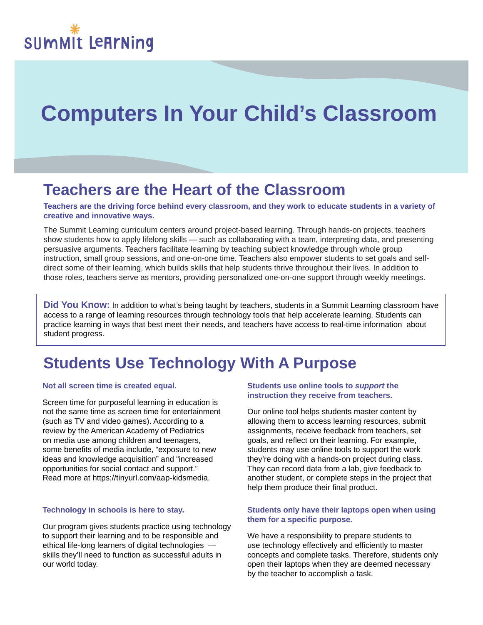# **Computers In Your Child's Classroom**

## **Teachers are the Heart of the Classroom**

**Teachers are the driving force behind every classroom, and they work to educate students in a variety of creative and innovative ways.**

The Summit Learning curriculum centers around project-based learning. Through hands-on projects, teachers show students how to apply lifelong skills — such as collaborating with a team, interpreting data, and presenting persuasive arguments. Teachers facilitate learning by teaching subject knowledge through whole group instruction, small group sessions, and one-on-one time. Teachers also empower students to set goals and selfdirect some of their learning, which builds skills that help students thrive throughout their lives. In addition to those roles, teachers serve as mentors, providing personalized one-on-one support through weekly meetings.

**Did You Know:** In addition to what's being taught by teachers, students in a Summit Learning classroom have access to a range of learning resources through technology tools that help accelerate learning. Students can practice learning in ways that best meet their needs, and teachers have access to real-time information about student progress.

# **Students Use Technology With A Purpose**

#### **Not all screen time is created equal.**

Screen time for purposeful learning in education is not the same time as screen time for entertainment (such as TV and video games). According to a review by the American Academy of Pediatrics on media use among children and teenagers, some benefits of media include, "exposure to new ideas and knowledge acquisition" and "increased opportunities for social contact and support." Read more at https://tinyurl.com/aap-kidsmedia.

#### **Technology in schools is here to stay.**

Our program gives students practice using technology to support their learning and to be responsible and ethical life-long learners of digital technologies skills they'll need to function as successful adults in our world today.

#### **Students use online tools to** *support* **the instruction they receive from teachers.**

Our online tool helps students master content by allowing them to access learning resources, submit assignments, receive feedback from teachers, set goals, and reflect on their learning. For example, students may use online tools to support the work they're doing with a hands-on project during class. They can record data from a lab, give feedback to another student, or complete steps in the project that help them produce their final product.

#### **Students only have their laptops open when using them for a specific purpose.**

We have a responsibility to prepare students to use technology effectively and efficiently to master concepts and complete tasks. Therefore, students only open their laptops when they are deemed necessary by the teacher to accomplish a task.